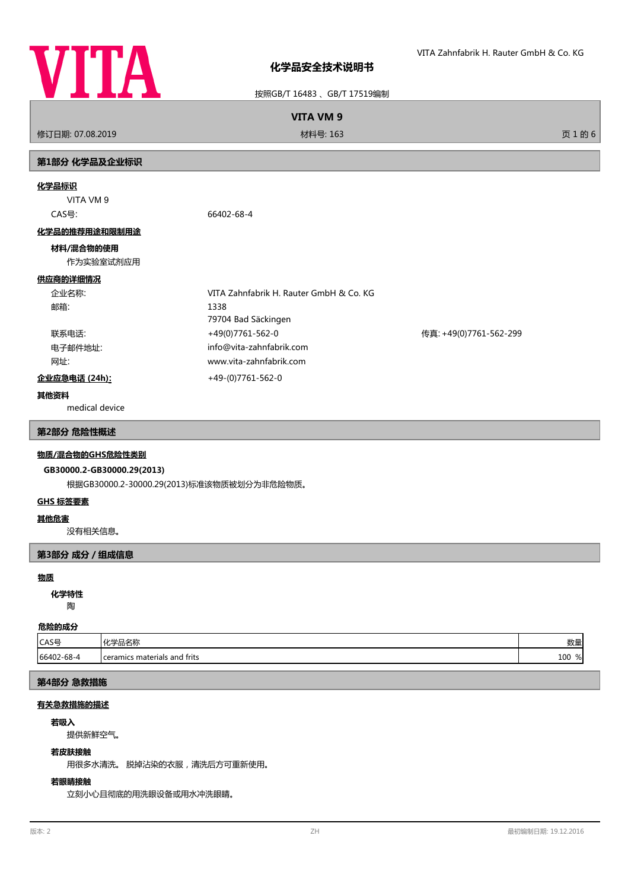

按照GB/T 16483 、GB/T 17519编制

**VITA VM 9**

修订日期: 07.08.2019 材料号: 163 页 1 的 6

# **第1部分 化学品及企业标识**

## **化学品标识**

VITA VM 9

CAS号: 66402-68-4

## **化学品的推荐用途和限制用途**

## **材料/混合物的使用**

作为实验室试剂应用

# **供应商的详细情况**

| 企业名称:         | VITA Zahnfabrik H. Rauter GmbH & Co. KG |                        |
|---------------|-----------------------------------------|------------------------|
| 邮箱:           | 1338                                    |                        |
|               | 79704 Bad Säckingen                     |                        |
| 联系电话:         | +49(0)7761-562-0                        | 传真: +49(0)7761-562-299 |
| 电子邮件地址:       | info@vita-zahnfabrik.com                |                        |
| 网址:           | www.vita-zahnfabrik.com                 |                        |
| 企业应急电话 (24h): | +49-(0)7761-562-0                       |                        |

## **其他资料**

medical device

## **第2部分 危险性概述**

# **物质/混合物的GHS危险性类别**

# **GB30000.2-GB30000.29(2013)**

根据GB30000.2-30000.29(2013)标准该物质被划分为非危险物质。

## **GHS 标签要素**

## **其他危害**

没有相关信息。

## **第3部分 成分/组成信息**

#### **物质**

陶 **化学特性**

# **危险的成分**

| .          |                                |            |
|------------|--------------------------------|------------|
| CAS号       | ル当ロクわ<br>"帕白州<br>. ru          | M4L<br>女人生 |
| 66402-68-4 | I ceramics materials and frits | 100<br>%   |

# **第4部分 急救措施**

# **有关急救措施的描述**

#### **若吸入**

提供新鲜空气。

## **若皮肤接触**

用很多水清洗。 脱掉沾染的衣服,清洗后方可重新使用。

# **若眼睛接触**

立刻小心且彻底的用洗眼设备或用水冲洗眼睛。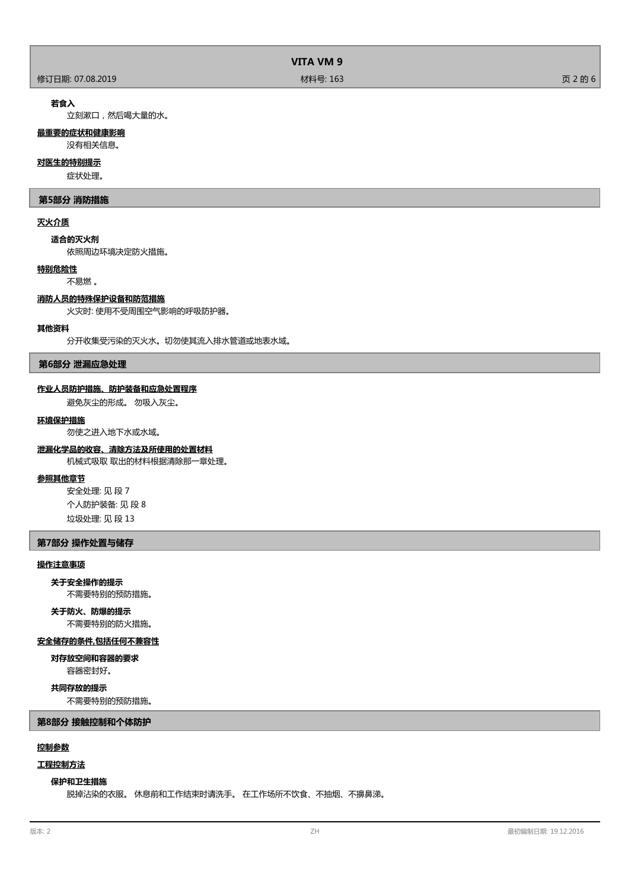| VITA VM 9        |          |         |
|------------------|----------|---------|
| 修订日期: 07.08.2019 | 材料号: 163 | 页 2 的 6 |

## **若食入**

立刻漱口,然后喝大量的水。

# **最重要的症状和健康影响**

没有相关信息。

# **对医生的特别提示**

症状处理。

## **第5部分 消防措施**

## **灭火介质**

**适合的灭火剂**

依照周边环境决定防火措施。

# **特别危险性**

不易燃 。

# **消防人员的特殊保护设备和防范措施**

火灾时: 使用不受周围空气影响的呼吸防护器。

## **其他资料**

分开收集受污染的灭火水。切勿使其流入排水管道或地表水域。

## **第6部分 泄漏应急处理**

#### **作业人员防护措施、防护装备和应急处置程序**

避免灰尘的形成。 勿吸入灰尘。

## **环境保护措施**

勿使之进入地下水或水域。

# **泄漏化学品的收容、清除方法及所使用的处置材料**

机械式吸取 取出的材料根据清除那一章处理。

# **参照其他章节**

安全处理: 见 段 7 个人防护装备: 见 段 8 垃圾处理: 见 段 13

## **第7部分 操作处置与储存**

## **操作注意事项**

#### **关于安全操作的提示**

不需要特别的预防措施。

# **关于防火、防爆的提示**

不需要特别的防火措施。

# **安全储存的条件,包括任何不兼容性**

容器密封好。 **对存放空间和容器的要求**

# **共同存放的提示**

不需要特别的预防措施。

**第8部分 接触控制和个体防护**

# **控制参数**

# **工程控制方法**

## **保护和卫生措施**

脱掉沾染的衣服。 休息前和工作结束时请洗手。 在工作场所不饮食、不抽烟、不擤鼻涕。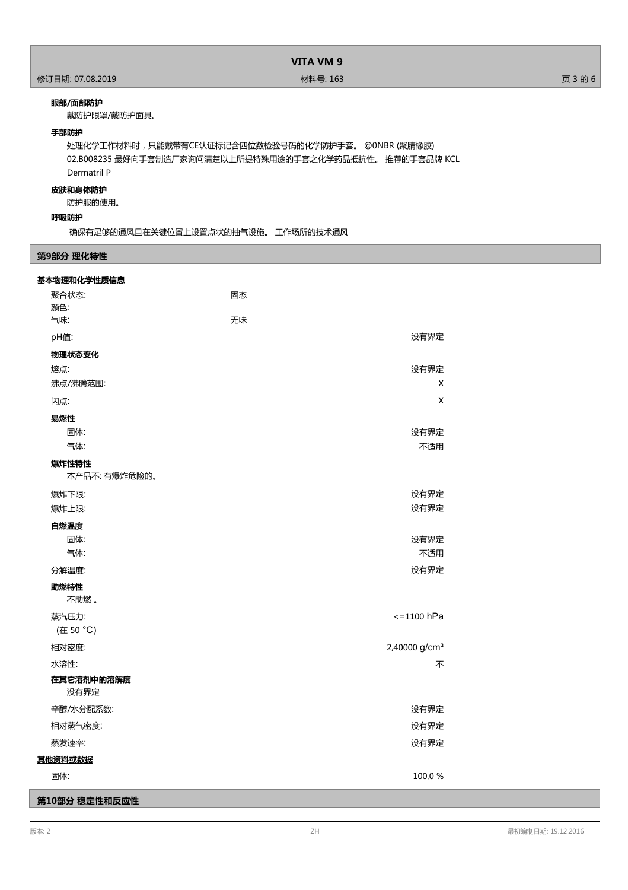# **VITA VM 9**

## **眼部/面部防护**

戴防护眼罩/戴防护面具。

# **手部防护**

处理化学工作材料时,只能戴带有CE认证标记含四位数检验号码的化学防护手套。 @0NBR (聚腈橡胶) 02.B008235 最好向手套制造厂家询问清楚以上所提特殊用途的手套之化学药品抵抗性。 推荐的手套品牌 KCL Dermatril P

# **皮肤和身体防护**

防护服的使用。

# **呼吸防护**

确保有足够的通风且在关键位置上设置点状的抽气设施。 工作场所的技术通风

# **第9部分 理化特性**

| 基本物理和化学性质信息            |                           |
|------------------------|---------------------------|
| 聚合状态:                  | 固态                        |
| 颜色:                    |                           |
| 气味:                    | 无味                        |
| pH值:                   | 没有界定                      |
| 物理状态变化                 |                           |
| 熔点:                    | 没有界定                      |
| 沸点/沸腾范围:               | X                         |
| 闪点:                    | X                         |
| 易燃性                    |                           |
| 固体:                    | 没有界定                      |
| 气体:                    | 不适用                       |
| 爆炸性特性<br>本产品不: 有爆炸危险的。 |                           |
| 爆炸下限:                  | 没有界定                      |
| 爆炸上限:                  | 没有界定                      |
| 自燃温度                   |                           |
| 固体:                    | 没有界定                      |
| 气体:                    | 不适用                       |
| 分解温度:                  | 没有界定                      |
| 助燃特性<br>不助燃。           |                           |
| 蒸汽压力:                  | $\le$ = 1100 hPa          |
| (在 50 °C)              |                           |
| 相对密度:                  | 2,40000 g/cm <sup>3</sup> |
| 水溶性:                   | 不                         |
| 在其它溶剂中的溶解度             |                           |
| 没有界定                   |                           |
| 辛醇/水分配系数:              | 没有界定                      |
| 相对蒸气密度:                | 没有界定                      |
| 蒸发速率:                  | 没有界定                      |
| 其他资料或数据                |                           |
| 固体:                    | 100,0%                    |
| 第10部分 稳定性和反应性          |                           |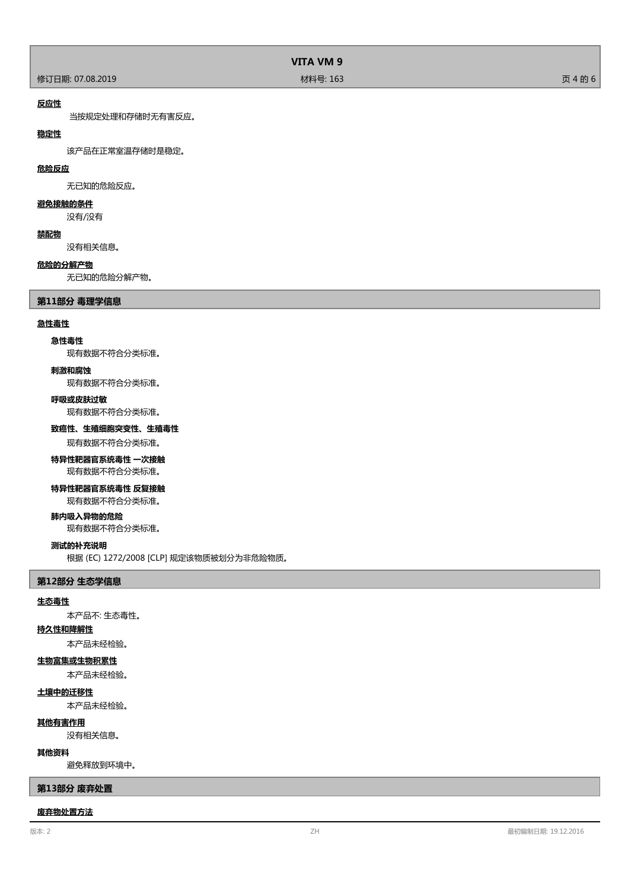|                  | VITA VM 9 |         |
|------------------|-----------|---------|
| 修订日期: 07.08.2019 | 材料号: 163  | 页 4 的 6 |

## **反应性**

当按规定处理和存储时无有害反应。

# **稳定性**

该产品在正常室温存储时是稳定。

## **危险反应**

无已知的危险反应。

# **避免接触的条件**

没有/没有

### **禁配物**

没有相关信息。

## **危险的分解产物**

无已知的危险分解产物。

## **第11部分 毒理学信息**

### **急性毒性**

## **急性毒性**

现有数据不符合分类标准。

## **刺激和腐蚀**

现有数据不符合分类标准。

## **呼吸或皮肤过敏**

现有数据不符合分类标准。

## **致癌性、生殖细胞突变性、生殖毒性**

现有数据不符合分类标准。

# **特异性靶器官系统毒性 一次接触**

现有数据不符合分类标准。

# **特异性靶器官系统毒性 反复接触**

现有数据不符合分类标准。

# **肺内吸入异物的危险**

现有数据不符合分类标准。

#### **测试的补充说明**

根据 (EC) 1272/2008 [CLP] 规定该物质被划分为非危险物质。

#### **第12部分 生态学信息**

#### **生态毒性**

本产品不: 生态毒性。

# **持久性和降解性**

本产品未经检验。

# **生物富集或生物积累性**

本产品未经检验。

## **土壤中的迁移性**

本产品未经检验。

# **其他有害作用**

没有相关信息。

# **其他资料**

避免释放到环境中。

## **第13部分 废弃处置**

#### **废弃物处置方法**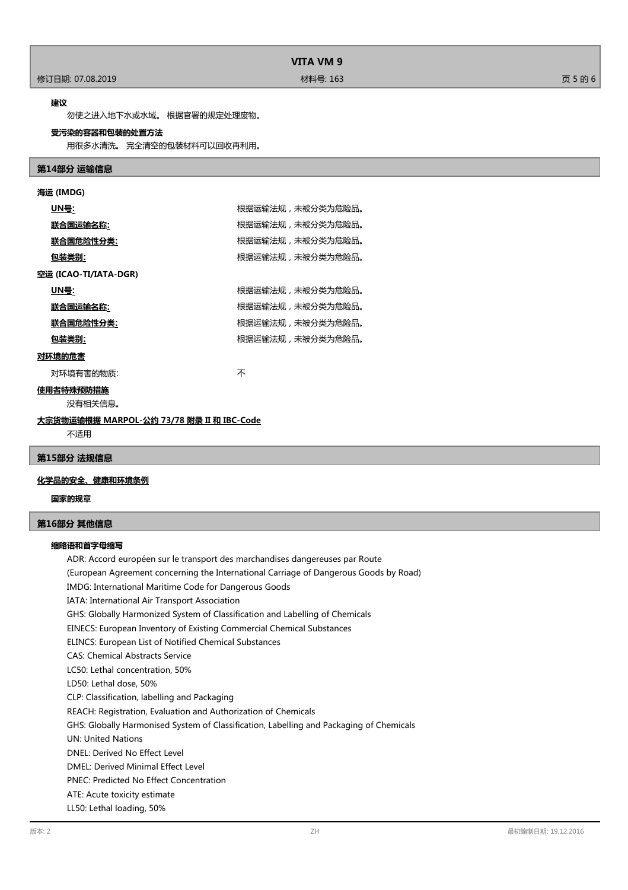### **建议**

勿使之进入地下水或水域。 根据官署的规定处理废物。

## **受污染的容器和包装的处置方法**

用很多水清洗。 完全清空的包装材料可以回收再利用。

## **第14部分 运输信息**

| 海运 (IMDG)                                 |                  |  |
|-------------------------------------------|------------------|--|
| <u>UN号</u> :                              | 根据运输法规,未被分类为危险品。 |  |
| 联合国运输名称:                                  | 根据运输法规,未被分类为危险品。 |  |
| <u> 联合国危险性分类:</u>                         | 根据运输法规,未被分类为危险品。 |  |
| <u>包装类别:</u>                              | 根据运输法规,未被分类为危险品。 |  |
| 空运 (ICAO-TI/IATA-DGR)                     |                  |  |
| <u>UN号:</u>                               | 根据运输法规,未被分类为危险品。 |  |
| 联合国运输名称:                                  | 根据运输法规,未被分类为危险品。 |  |
| <u> 联合国危险性分类:</u>                         | 根据运输法规,未被分类为危险品。 |  |
| <u>包装类别:</u>                              | 根据运输法规,未被分类为危险品。 |  |
| 对环境的危害                                    |                  |  |
| 对环境有害的物质:                                 | 不                |  |
| 使用者特殊预防措施                                 |                  |  |
| 没有相关信息。                                   |                  |  |
| 大宗货物运输根据 MARPOL-公约 73/78 附录 II 和 IBC-Code |                  |  |

不适用

# **第15部分 法规信息**

# **化学品的安全、健康和环境条例**

**国家的规章**

## **第16部分 其他信息**

### **缩略语和首字母缩写**

ADR: Accord européen sur le transport des marchandises dangereuses par Route (European Agreement concerning the International Carriage of Dangerous Goods by Road) IMDG: International Maritime Code for Dangerous Goods IATA: International Air Transport Association GHS: Globally Harmonized System of Classification and Labelling of Chemicals EINECS: European Inventory of Existing Commercial Chemical Substances ELINCS: European List of Notified Chemical Substances CAS: Chemical Abstracts Service LC50: Lethal concentration, 50% LD50: Lethal dose, 50% CLP: Classification, labelling and Packaging REACH: Registration, Evaluation and Authorization of Chemicals GHS: Globally Harmonised System of Classification, Labelling and Packaging of Chemicals UN: United Nations DNEL: Derived No Effect Level DMEL: Derived Minimal Effect Level PNEC: Predicted No Effect Concentration ATE: Acute toxicity estimate LL50: Lethal loading, 50%